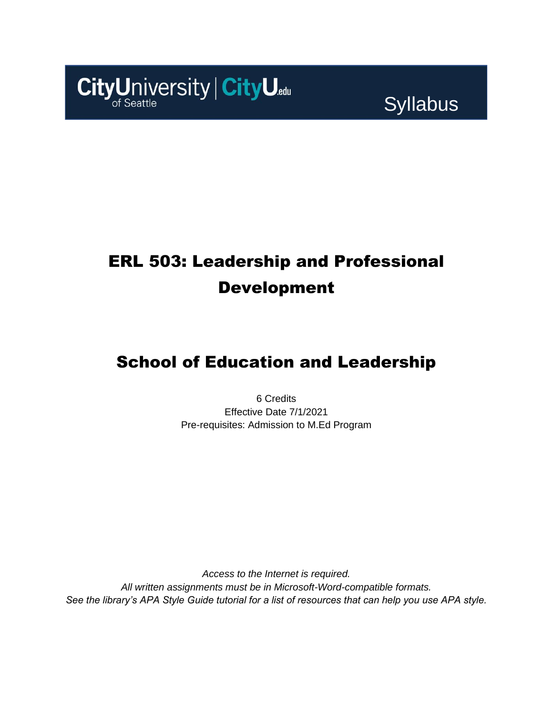

**Syllabus** 

# ERL 503: Leadership and Professional Development

## School of Education and Leadership

6 Credits Effective Date 7/1/2021 Pre-requisites: Admission to M.Ed Program

*Access to the Internet is required. All written assignments must be in Microsoft-Word-compatible formats. See the library's APA Style Guide tutorial for a list of resources that can help you use APA style.*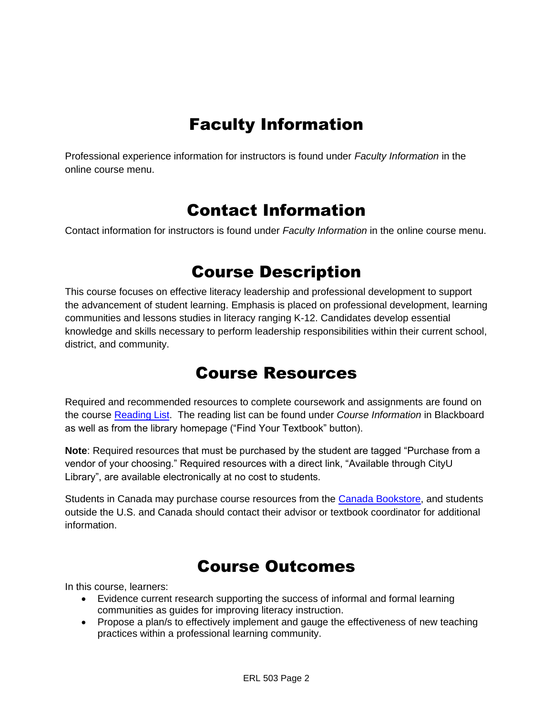# Faculty Information

Professional experience information for instructors is found under *Faculty Information* in the online course menu.

### Contact Information

Contact information for instructors is found under *Faculty Information* in the online course menu.

### Course Description

This course focuses on effective literacy leadership and professional development to support the advancement of student learning. Emphasis is placed on professional development, learning communities and lessons studies in literacy ranging K-12. Candidates develop essential knowledge and skills necessary to perform leadership responsibilities within their current school, district, and community.

### Course Resources

Required and recommended resources to complete coursework and assignments are found on the course [Reading List.](https://cityu.alma.exlibrisgroup.com/leganto/login?auth=SAML) The reading list can be found under *Course Information* in Blackboard as well as from the library homepage ("Find Your Textbook" button).

**Note**: Required resources that must be purchased by the student are tagged "Purchase from a vendor of your choosing." Required resources with a direct link, "Available through CityU Library", are available electronically at no cost to students.

Students in Canada may purchase course resources from the [Canada Bookstore,](https://www.cityubookstore.ca/index.asp) and students outside the U.S. and Canada should contact their advisor or textbook coordinator for additional information.

## Course Outcomes

In this course, learners:

- Evidence current research supporting the success of informal and formal learning communities as guides for improving literacy instruction.
- Propose a plan/s to effectively implement and gauge the effectiveness of new teaching practices within a professional learning community.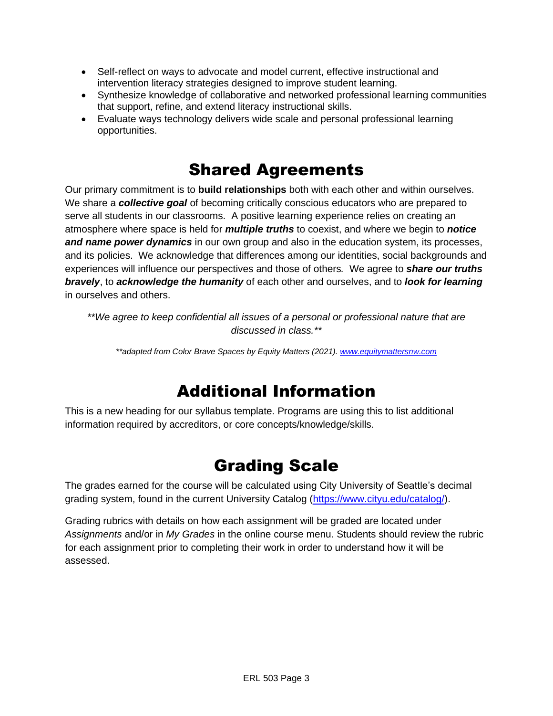- Self-reflect on ways to advocate and model current, effective instructional and intervention literacy strategies designed to improve student learning.
- Synthesize knowledge of collaborative and networked professional learning communities that support, refine, and extend literacy instructional skills.
- Evaluate ways technology delivers wide scale and personal professional learning opportunities.

## Shared Agreements

Our primary commitment is to **build relationships** both with each other and within ourselves. We share a *collective goal* of becoming critically conscious educators who are prepared to serve all students in our classrooms. A positive learning experience relies on creating an atmosphere where space is held for *multiple truths* to coexist, and where we begin to *notice and name power dynamics* in our own group and also in the education system, its processes, and its policies. We acknowledge that differences among our identities, social backgrounds and experiences will influence our perspectives and those of others*.* We agree to *share our truths bravely*, to *acknowledge the humanity* of each other and ourselves, and to *look for learning* in ourselves and others.

*\*\*We agree to keep confidential all issues of a personal or professional nature that are discussed in class.\*\**

*\*\*adapted from Color Brave Spaces by Equity Matters (2021)[. www.equitymattersnw.com](http://www.equitymattersnw.com/)*

## Additional Information

This is a new heading for our syllabus template. Programs are using this to list additional information required by accreditors, or core concepts/knowledge/skills.

## Grading Scale

The grades earned for the course will be calculated using City University of Seattle's decimal grading system, found in the current University Catalog [\(https://www.cityu.edu/catalog/\)](https://www.cityu.edu/catalog/).

Grading rubrics with details on how each assignment will be graded are located under *Assignments* and/or in *My Grades* in the online course menu. Students should review the rubric for each assignment prior to completing their work in order to understand how it will be assessed.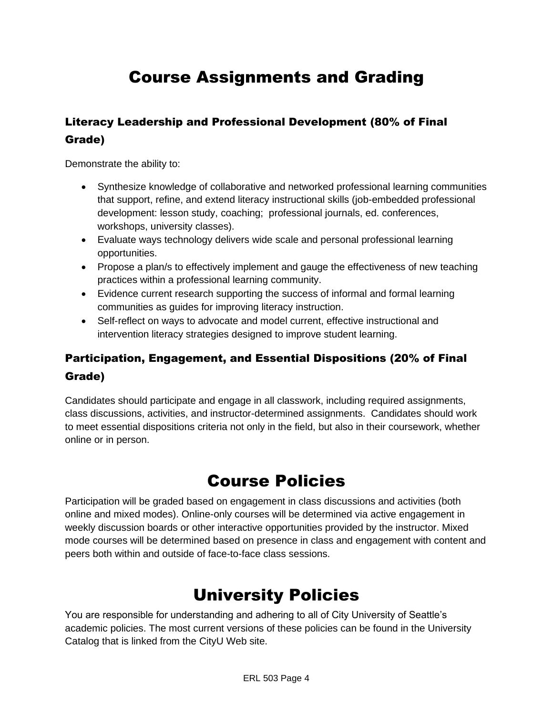# Course Assignments and Grading

### Literacy Leadership and Professional Development (80% of Final Grade)

Demonstrate the ability to:

- Synthesize knowledge of collaborative and networked professional learning communities that support, refine, and extend literacy instructional skills (job-embedded professional development: lesson study, coaching; professional journals, ed. conferences, workshops, university classes).
- Evaluate ways technology delivers wide scale and personal professional learning opportunities.
- Propose a plan/s to effectively implement and gauge the effectiveness of new teaching practices within a professional learning community.
- Evidence current research supporting the success of informal and formal learning communities as guides for improving literacy instruction.
- Self-reflect on ways to advocate and model current, effective instructional and intervention literacy strategies designed to improve student learning.

### Participation, Engagement, and Essential Dispositions (20% of Final Grade)

Candidates should participate and engage in all classwork, including required assignments, class discussions, activities, and instructor-determined assignments. Candidates should work to meet essential dispositions criteria not only in the field, but also in their coursework, whether online or in person.

## Course Policies

Participation will be graded based on engagement in class discussions and activities (both online and mixed modes). Online-only courses will be determined via active engagement in weekly discussion boards or other interactive opportunities provided by the instructor. Mixed mode courses will be determined based on presence in class and engagement with content and peers both within and outside of face-to-face class sessions.

# University Policies

You are responsible for understanding and adhering to all of City University of Seattle's academic policies. The most current versions of these policies can be found in the University Catalog that is linked from the CityU Web site.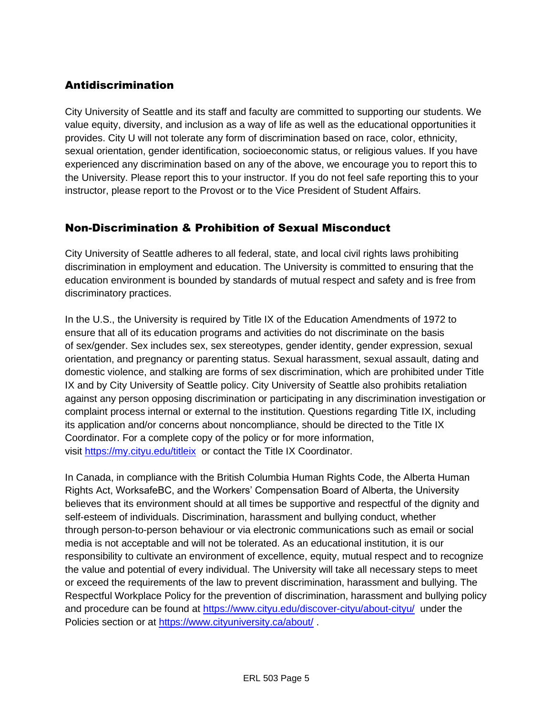#### Antidiscrimination

City University of Seattle and its staff and faculty are committed to supporting our students. We value equity, diversity, and inclusion as a way of life as well as the educational opportunities it provides. City U will not tolerate any form of discrimination based on race, color, ethnicity, sexual orientation, gender identification, socioeconomic status, or religious values. If you have experienced any discrimination based on any of the above, we encourage you to report this to the University. Please report this to your instructor. If you do not feel safe reporting this to your instructor, please report to the Provost or to the Vice President of Student Affairs.

#### Non-Discrimination & Prohibition of Sexual Misconduct

City University of Seattle adheres to all federal, state, and local civil rights laws prohibiting discrimination in employment and education. The University is committed to ensuring that the education environment is bounded by standards of mutual respect and safety and is free from discriminatory practices.

In the U.S., the University is required by Title IX of the Education Amendments of 1972 to ensure that all of its education programs and activities do not discriminate on the basis of sex/gender. Sex includes sex, sex stereotypes, gender identity, gender expression, sexual orientation, and pregnancy or parenting status. Sexual harassment, sexual assault, dating and domestic violence, and stalking are forms of sex discrimination, which are prohibited under Title IX and by City University of Seattle policy. City University of Seattle also prohibits retaliation against any person opposing discrimination or participating in any discrimination investigation or complaint process internal or external to the institution. Questions regarding Title IX, including its application and/or concerns about noncompliance, should be directed to the Title IX Coordinator. For a complete copy of the policy or for more information, visit [https://my.cityu.edu/titleix](https://nam11.safelinks.protection.outlook.com/?url=https%3A%2F%2Fmy.cityu.edu%2Ftitleix&data=04%7C01%7Claker%40cityu.edu%7Cbc558c70c10340dbaa2408d9172365a0%7Cb3fa96d9f5154662add763d854e39e63%7C1%7C0%7C637566263054321964%7CUnknown%7CTWFpbGZsb3d8eyJWIjoiMC4wLjAwMDAiLCJQIjoiV2luMzIiLCJBTiI6Ik1haWwiLCJXVCI6Mn0%3D%7C1000&sdata=GX0hgfxN2OMKFTKjD04gqvwwyU44mfnCmEdCtsEzab0%3D&reserved=0) or contact the Title IX Coordinator.

In Canada, in compliance with the British Columbia Human Rights Code, the Alberta Human Rights Act, WorksafeBC, and the Workers' Compensation Board of Alberta, the University believes that its environment should at all times be supportive and respectful of the dignity and self-esteem of individuals. Discrimination, harassment and bullying conduct, whether through person-to-person behaviour or via electronic communications such as email or social media is not acceptable and will not be tolerated. As an educational institution, it is our responsibility to cultivate an environment of excellence, equity, mutual respect and to recognize the value and potential of every individual. The University will take all necessary steps to meet or exceed the requirements of the law to prevent discrimination, harassment and bullying. The Respectful Workplace Policy for the prevention of discrimination, harassment and bullying policy and procedure can be found at [https://www.cityu.edu/discover-cityu/about-cityu/](https://nam11.safelinks.protection.outlook.com/?url=https%3A%2F%2Fwww.cityu.edu%2Fdiscover-cityu%2Fabout-cityu%2F&data=04%7C01%7Claker%40cityu.edu%7Cbc558c70c10340dbaa2408d9172365a0%7Cb3fa96d9f5154662add763d854e39e63%7C1%7C0%7C637566263054331957%7CUnknown%7CTWFpbGZsb3d8eyJWIjoiMC4wLjAwMDAiLCJQIjoiV2luMzIiLCJBTiI6Ik1haWwiLCJXVCI6Mn0%3D%7C1000&sdata=7Q6QoqwuNLfeOJPewViWSeIwRIBy%2BoqDOiP8xSHYm78%3D&reserved=0) under the Policies section or at [https://www.cityuniversity.ca/about/](https://nam11.safelinks.protection.outlook.com/?url=https%3A%2F%2Fwww.cityuniversity.ca%2Fabout%2F&data=04%7C01%7Claker%40cityu.edu%7Cbc558c70c10340dbaa2408d9172365a0%7Cb3fa96d9f5154662add763d854e39e63%7C1%7C0%7C637566263054331957%7CUnknown%7CTWFpbGZsb3d8eyJWIjoiMC4wLjAwMDAiLCJQIjoiV2luMzIiLCJBTiI6Ik1haWwiLCJXVCI6Mn0%3D%7C1000&sdata=TX6bXEiU0CC6hC1mrTnKpuJywbR06qAj7RMu8QC4RUA%3D&reserved=0) .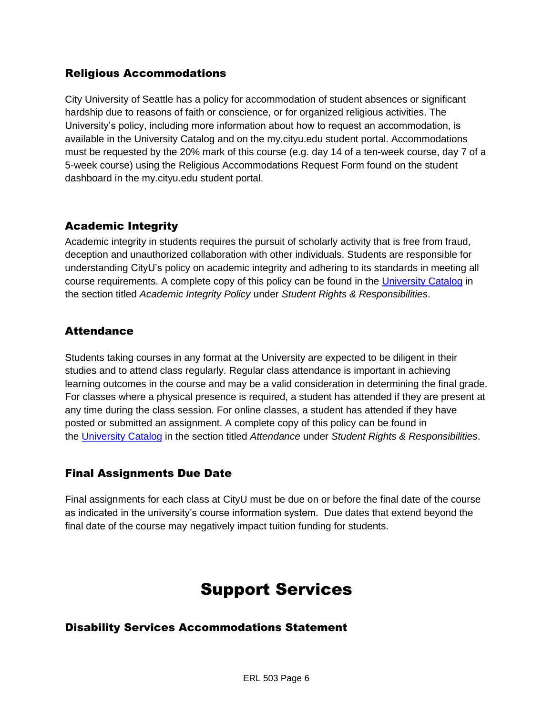#### Religious Accommodations

City University of Seattle has a policy for accommodation of student absences or significant hardship due to reasons of faith or conscience, or for organized religious activities. The University's policy, including more information about how to request an accommodation, is available in the University Catalog and on the my.cityu.edu student portal. Accommodations must be requested by the 20% mark of this course (e.g. day 14 of a ten-week course, day 7 of a 5-week course) using the Religious Accommodations Request Form found on the student dashboard in the my.cityu.edu student portal.

#### Academic Integrity

Academic integrity in students requires the pursuit of scholarly activity that is free from fraud, deception and unauthorized collaboration with other individuals. Students are responsible for understanding CityU's policy on academic integrity and adhering to its standards in meeting all course requirements. A complete copy of this policy can be found in the [University Catalog](https://nam11.safelinks.protection.outlook.com/?url=http%3A%2F%2Fwww.cityu.edu%2Fcatalog%2F&data=04%7C01%7Claker%40cityu.edu%7Cbc558c70c10340dbaa2408d9172365a0%7Cb3fa96d9f5154662add763d854e39e63%7C1%7C0%7C637566263054341952%7CUnknown%7CTWFpbGZsb3d8eyJWIjoiMC4wLjAwMDAiLCJQIjoiV2luMzIiLCJBTiI6Ik1haWwiLCJXVCI6Mn0%3D%7C1000&sdata=aL6fsSyLtVzJgdrlE9PtZXb%2F3H6wCdrvPcw4zOoEYTI%3D&reserved=0) in the section titled *Academic Integrity Policy* under *Student Rights & Responsibilities*.

#### **Attendance**

Students taking courses in any format at the University are expected to be diligent in their studies and to attend class regularly. Regular class attendance is important in achieving learning outcomes in the course and may be a valid consideration in determining the final grade. For classes where a physical presence is required, a student has attended if they are present at any time during the class session. For online classes, a student has attended if they have posted or submitted an assignment. A complete copy of this policy can be found in the [University Catalog](https://nam11.safelinks.protection.outlook.com/?url=http%3A%2F%2Fwww.cityu.edu%2Fcatalog%2F&data=04%7C01%7Claker%40cityu.edu%7Cbc558c70c10340dbaa2408d9172365a0%7Cb3fa96d9f5154662add763d854e39e63%7C1%7C0%7C637566263054341952%7CUnknown%7CTWFpbGZsb3d8eyJWIjoiMC4wLjAwMDAiLCJQIjoiV2luMzIiLCJBTiI6Ik1haWwiLCJXVCI6Mn0%3D%7C1000&sdata=aL6fsSyLtVzJgdrlE9PtZXb%2F3H6wCdrvPcw4zOoEYTI%3D&reserved=0) in the section titled *Attendance* under *Student Rights & Responsibilities*.

#### Final Assignments Due Date

Final assignments for each class at CityU must be due on or before the final date of the course as indicated in the university's course information system. Due dates that extend beyond the final date of the course may negatively impact tuition funding for students.

### Support Services

#### Disability Services Accommodations Statement